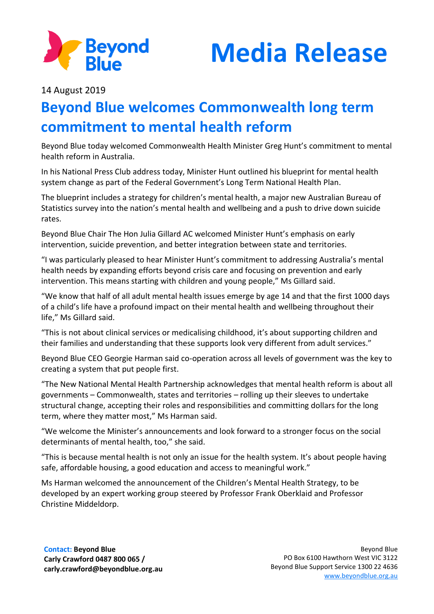



14 August 2019

## **Beyond Blue welcomes Commonwealth long term commitment to mental health reform**

Beyond Blue today welcomed Commonwealth Health Minister Greg Hunt's commitment to mental health reform in Australia.

In his National Press Club address today, Minister Hunt outlined his blueprint for mental health system change as part of the Federal Government's Long Term National Health Plan.

The blueprint includes a strategy for children's mental health, a major new Australian Bureau of Statistics survey into the nation's mental health and wellbeing and a push to drive down suicide rates.

Beyond Blue Chair The Hon Julia Gillard AC welcomed Minister Hunt's emphasis on early intervention, suicide prevention, and better integration between state and territories.

"I was particularly pleased to hear Minister Hunt's commitment to addressing Australia's mental health needs by expanding efforts beyond crisis care and focusing on prevention and early intervention. This means starting with children and young people," Ms Gillard said.

"We know that half of all adult mental health issues emerge by age 14 and that the first 1000 days of a child's life have a profound impact on their mental health and wellbeing throughout their life," Ms Gillard said.

"This is not about clinical services or medicalising childhood, it's about supporting children and their families and understanding that these supports look very different from adult services."

Beyond Blue CEO Georgie Harman said co-operation across all levels of government was the key to creating a system that put people first.

"The New National Mental Health Partnership acknowledges that mental health reform is about all governments – Commonwealth, states and territories – rolling up their sleeves to undertake structural change, accepting their roles and responsibilities and committing dollars for the long term, where they matter most," Ms Harman said.

"We welcome the Minister's announcements and look forward to a stronger focus on the social determinants of mental health, too," she said.

"This is because mental health is not only an issue for the health system. It's about people having safe, affordable housing, a good education and access to meaningful work."

Ms Harman welcomed the announcement of the Children's Mental Health Strategy, to be developed by an expert working group steered by Professor Frank Oberklaid and Professor Christine Middeldorp.

**Contact: Beyond Blue Carly Crawford 0487 800 065 / carly.crawford@beyondblue.org.au**